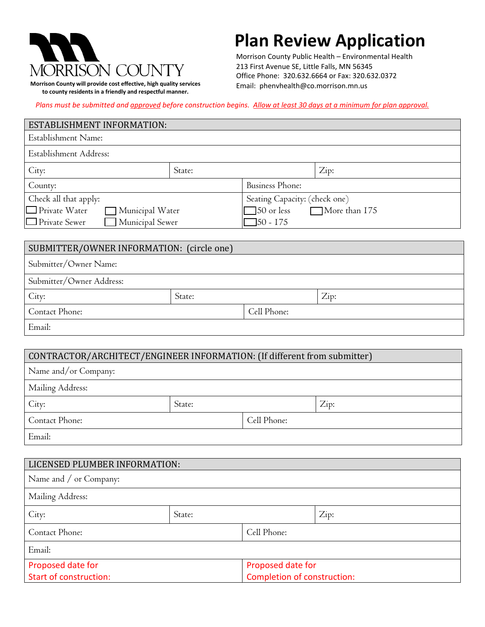

**Morrison County will provide cost effective, high quality services to county residents in a friendly and respectful manner.**

## **Plan Review Application**

 Morrison County Public Health – Environmental Health 213 First Avenue SE, Little Falls, MN 56345 Office Phone: 320.632.6664 or Fax: 320.632.0372 Email: phenvhealth@co.morrison.mn.us

*Plans must be submitted and approved before construction begins. Allow at least 30 days at a minimum for plan approval.*

#### ESTABLISHMENT INFORMATION:

| Establishment Name:                     |                               |                                    |      |
|-----------------------------------------|-------------------------------|------------------------------------|------|
| Establishment Address:                  |                               |                                    |      |
| City:                                   | State:                        |                                    | Zip: |
| County:                                 |                               | Business Phone:                    |      |
| Check all that apply:                   | Seating Capacity: (check one) |                                    |      |
| $\Box$ Private Water<br>Municipal Water |                               | More than 175<br>$\Box$ 50 or less |      |
| Municipal Sewer<br>$\Box$ Private Sewer |                               | $\Box$ 50 - 175                    |      |

| SUBMITTER/OWNER INFORMATION: (circle one) |        |             |      |
|-------------------------------------------|--------|-------------|------|
| Submitter/Owner Name:                     |        |             |      |
| Submitter/Owner Address:                  |        |             |      |
| City:                                     | State: |             | Zip: |
| Contact Phone:                            |        | Cell Phone: |      |
| Email:                                    |        |             |      |

#### CONTRACTOR/ARCHITECT/ENGINEER INFORMATION: (If different from submitter)

| Name and/or Company: |        |             |      |
|----------------------|--------|-------------|------|
| Mailing Address:     |        |             |      |
| City:                | State: |             | Zip: |
| Contact Phone:       |        | Cell Phone: |      |
| Email:               |        |             |      |

| LICENSED PLUMBER INFORMATION: |        |                             |      |
|-------------------------------|--------|-----------------------------|------|
| Name and / or Company:        |        |                             |      |
| Mailing Address:              |        |                             |      |
| City:                         | State: |                             | Zip: |
| Contact Phone:                |        | Cell Phone:                 |      |
| Email:                        |        |                             |      |
| Proposed date for             |        | Proposed date for           |      |
| <b>Start of construction:</b> |        | Completion of construction: |      |